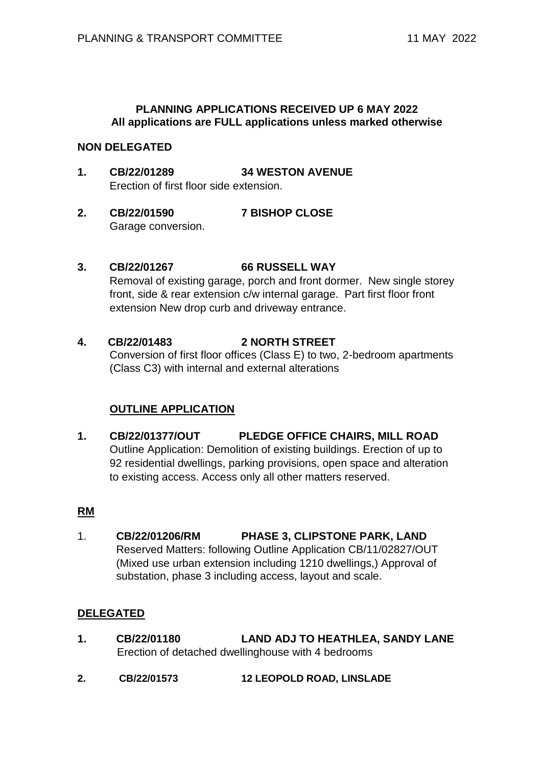# **PLANNING APPLICATIONS RECEIVED UP 6 MAY 2022 All applications are FULL applications unless marked otherwise**

# **NON DELEGATED**

- **1. CB/22/01289 34 WESTON AVENUE** Erection of first floor side extension.
- **2. CB/22/01590 7 BISHOP CLOSE** Garage conversion.

# **3. CB/22/01267 66 RUSSELL WAY**

Removal of existing garage, porch and front dormer. New single storey front, side & rear extension c/w internal garage. Part first floor front extension New drop curb and driveway entrance.

# **4. CB/22/01483 2 NORTH STREET**

Conversion of first floor offices (Class E) to two, 2-bedroom apartments (Class C3) with internal and external alterations

# **OUTLINE APPLICATION**

**1. CB/22/01377/OUT PLEDGE OFFICE CHAIRS, MILL ROAD** Outline Application: Demolition of existing buildings. Erection of up to 92 residential dwellings, parking provisions, open space and alteration to existing access. Access only all other matters reserved.

### **RM**

1. **CB/22/01206/RM PHASE 3, CLIPSTONE PARK, LAND**  Reserved Matters: following Outline Application CB/11/02827/OUT (Mixed use urban extension including 1210 dwellings,) Approval of substation, phase 3 including access, layout and scale.

### **DELEGATED**

- **1. CB/22/01180 LAND ADJ TO HEATHLEA, SANDY LANE** Erection of detached dwellinghouse with 4 bedrooms
- **2. CB/22/01573 12 LEOPOLD ROAD, LINSLADE**